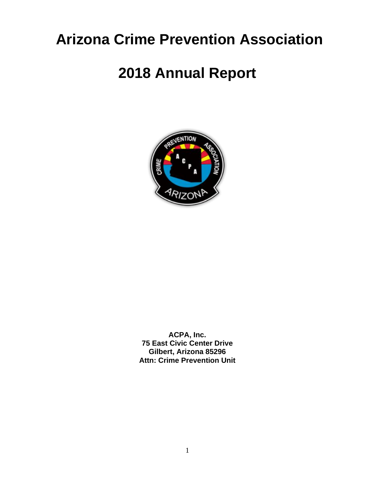# **Arizona Crime Prevention Association**

# **2018 Annual Report**



**ACPA, Inc. 75 East Civic Center Drive Gilbert, Arizona 85296 Attn: Crime Prevention Unit**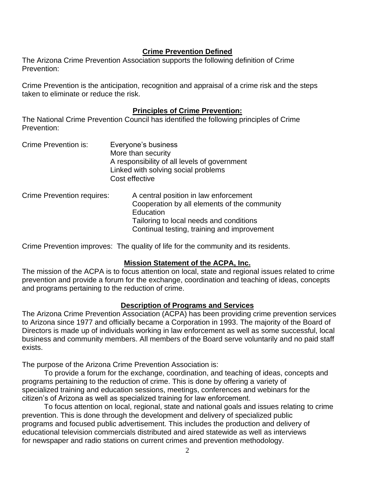## **Crime Prevention Defined**

The Arizona Crime Prevention Association supports the following definition of Crime Prevention:

Crime Prevention is the anticipation, recognition and appraisal of a crime risk and the steps taken to eliminate or reduce the risk.

### **Principles of Crime Prevention:**

The National Crime Prevention Council has identified the following principles of Crime Prevention:

| Crime Prevention is: | Everyone's business                          |
|----------------------|----------------------------------------------|
|                      | More than security                           |
|                      | A responsibility of all levels of government |
|                      | Linked with solving social problems          |
|                      | Cost effective                               |
|                      |                                              |

| Crime Prevention requires: | A central position in law enforcement        |
|----------------------------|----------------------------------------------|
|                            | Cooperation by all elements of the community |
|                            | Education                                    |
|                            | Tailoring to local needs and conditions      |
|                            | Continual testing, training and improvement  |

Crime Prevention improves: The quality of life for the community and its residents.

## **Mission Statement of the ACPA, Inc.**

The mission of the ACPA is to focus attention on local, state and regional issues related to crime prevention and provide a forum for the exchange, coordination and teaching of ideas, concepts and programs pertaining to the reduction of crime.

## **Description of Programs and Services**

The Arizona Crime Prevention Association (ACPA) has been providing crime prevention services to Arizona since 1977 and officially became a Corporation in 1993. The majority of the Board of Directors is made up of individuals working in law enforcement as well as some successful, local business and community members. All members of the Board serve voluntarily and no paid staff exists.

The purpose of the Arizona Crime Prevention Association is:

To provide a forum for the exchange, coordination, and teaching of ideas, concepts and programs pertaining to the reduction of crime. This is done by offering a variety of specialized training and education sessions, meetings, conferences and webinars for the citizen's of Arizona as well as specialized training for law enforcement.

To focus attention on local, regional, state and national goals and issues relating to crime prevention. This is done through the development and delivery of specialized public programs and focused public advertisement. This includes the production and delivery of educational television commercials distributed and aired statewide as well as interviews for newspaper and radio stations on current crimes and prevention methodology.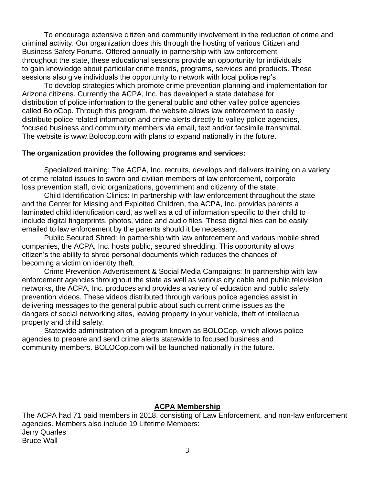To encourage extensive citizen and community involvement in the reduction of crime and criminal activity. Our organization does this through the hosting of various Citizen and Business Safety Forums. Offered annually in partnership with law enforcement throughout the state, these educational sessions provide an opportunity for individuals to gain knowledge about particular crime trends, programs, services and products. These sessions also give individuals the opportunity to network with local police rep's.

To develop strategies which promote crime prevention planning and implementation for Arizona citizens. Currently the ACPA, Inc. has developed a state database for distribution of police information to the general public and other valley police agencies called BoloCop. Through this program, the website allows law enforcement to easily distribute police related information and crime alerts directly to valley police agencies, focused business and community members via email, text and/or facsimile transmittal. The website is www.Bolocop.com with plans to expand nationally in the future.

#### **The organization provides the following programs and services:**

Specialized training: The ACPA, Inc. recruits, develops and delivers training on a variety of crime related issues to sworn and civilian members of law enforcement, corporate loss prevention staff, civic organizations, government and citizenry of the state.

Child Identification Clinics: In partnership with law enforcement throughout the state and the Center for Missing and Exploited Children, the ACPA, Inc. provides parents a laminated child identification card, as well as a cd of information specific to their child to include digital fingerprints, photos, video and audio files. These digital files can be easily emailed to law enforcement by the parents should it be necessary.

Public Secured Shred: In partnership with law enforcement and various mobile shred companies, the ACPA, Inc. hosts public, secured shredding. This opportunity allows citizen's the ability to shred personal documents which reduces the chances of becoming a victim on identity theft.

Crime Prevention Advertisement & Social Media Campaigns: In partnership with law enforcement agencies throughout the state as well as various city cable and public television networks, the ACPA, Inc. produces and provides a variety of education and public safety prevention videos. These videos distributed through various police agencies assist in delivering messages to the general public about such current crime issues as the dangers of social networking sites, leaving property in your vehicle, theft of intellectual property and child safety.

Statewide administration of a program known as BOLOCop, which allows police agencies to prepare and send crime alerts statewide to focused business and community members. BOLOCop.com will be launched nationally in the future.

#### **ACPA Membership**

The ACPA had 71 paid members in 2018, consisting of Law Enforcement, and non-law enforcement agencies. Members also include 19 Lifetime Members: Jerry Quarles Bruce Wall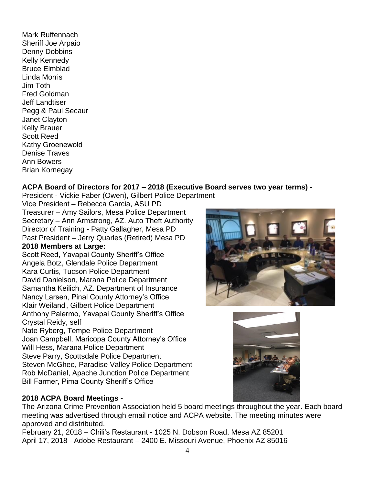Mark Ruffennach Sheriff Joe Arpaio Denny Dobbins Kelly Kennedy Bruce Elmblad Linda Morris Jim Toth Fred Goldman Jeff Landtiser Pegg & Paul Secaur Janet Clayton Kelly Brauer Scott Reed Kathy Groenewold Denise Traves Ann Bowers Brian Kornegay

# **ACPA Board of Directors for 2017 – 2018 (Executive Board serves two year terms) -**

President - Vickie Faber (Owen), Gilbert Police Department Vice President – Rebecca Garcia, ASU PD

Treasurer – Amy Sailors, Mesa Police Department Secretary – Ann Armstrong, AZ. Auto Theft Authority Director of Training - Patty Gallagher, Mesa PD Past President – Jerry Quarles (Retired) Mesa PD

# **2018 Members at Large:**

Scott Reed, Yavapai County Sheriff's Office Angela Botz, Glendale Police Department Kara Curtis, Tucson Police Department David Danielson, Marana Police Department Samantha Keilich, AZ. Department of Insurance Nancy Larsen, Pinal County Attorney's Office Klair Weiland, Gilbert Police Department Anthony Palermo, Yavapai County Sheriff's Office Crystal Reidy, self

Nate Ryberg, Tempe Police Department Joan Campbell, Maricopa County Attorney's Office Will Hess, Marana Police Department Steve Parry, Scottsdale Police Department Steven McGhee, Paradise Valley Police Department Rob McDaniel, Apache Junction Police Department Bill Farmer, Pima County Sheriff's Office

# **2018 ACPA Board Meetings -**



The Arizona Crime Prevention Association held 5 board meetings throughout the year. Each board meeting was advertised through email notice and ACPA website. The meeting minutes were approved and distributed.

February 21, 2018 – Chili's Restaurant - 1025 N. Dobson Road, Mesa AZ 85201 April 17, 2018 - Adobe Restaurant – 2400 E. Missouri Avenue, Phoenix AZ 85016